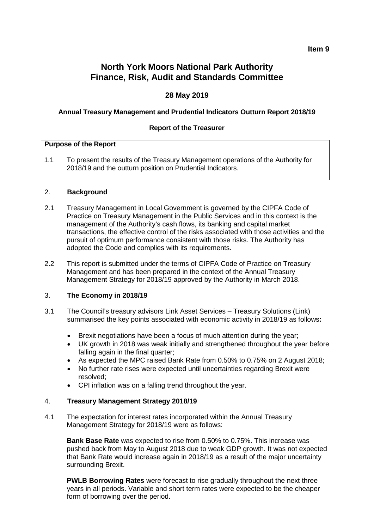# **North York Moors National Park Authority Finance, Risk, Audit and Standards Committee**

## **28 May 2019**

#### **Annual Treasury Management and Prudential Indicators Outturn Report 2018/19**

#### **Report of the Treasurer**

#### **Purpose of the Report**

1.1 To present the results of the Treasury Management operations of the Authority for 2018/19 and the outturn position on Prudential Indicators.

#### 2. **Background**

- 2.1 Treasury Management in Local Government is governed by the CIPFA Code of Practice on Treasury Management in the Public Services and in this context is the management of the Authority's cash flows, its banking and capital market transactions, the effective control of the risks associated with those activities and the pursuit of optimum performance consistent with those risks. The Authority has adopted the Code and complies with its requirements.
- 2.2 This report is submitted under the terms of CIPFA Code of Practice on Treasury Management and has been prepared in the context of the Annual Treasury Management Strategy for 2018/19 approved by the Authority in March 2018.

## 3. **The Economy in 2018/19**

- 3.1 The Council's treasury advisors Link Asset Services Treasury Solutions (Link) summarised the key points associated with economic activity in 2018/19 as follows**:**
	- Brexit negotiations have been a focus of much attention during the year;
	- UK growth in 2018 was weak initially and strengthened throughout the year before falling again in the final quarter;
	- As expected the MPC raised Bank Rate from 0.50% to 0.75% on 2 August 2018;
	- No further rate rises were expected until uncertainties regarding Brexit were resolved;
	- CPI inflation was on a falling trend throughout the year.

#### 4. **Treasury Management Strategy 2018/19**

4.1 The expectation for interest rates incorporated within the Annual Treasury Management Strategy for 2018/19 were as follows:

**Bank Base Rate** was expected to rise from 0.50% to 0.75%. This increase was pushed back from May to August 2018 due to weak GDP growth. It was not expected that Bank Rate would increase again in 2018/19 as a result of the major uncertainty surrounding Brexit.

**PWLB Borrowing Rates** were forecast to rise gradually throughout the next three years in all periods. Variable and short term rates were expected to be the cheaper form of borrowing over the period.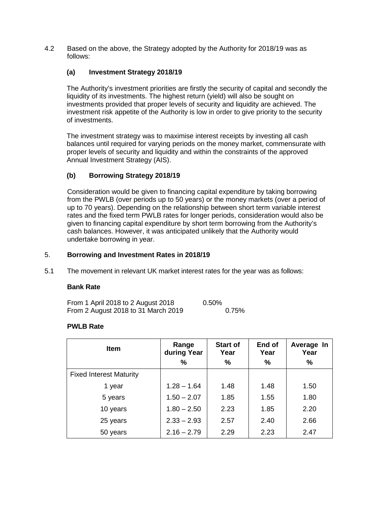4.2 Based on the above, the Strategy adopted by the Authority for 2018/19 was as follows:

## **(a) Investment Strategy 2018/19**

The Authority's investment priorities are firstly the security of capital and secondly the liquidity of its investments. The highest return (yield) will also be sought on investments provided that proper levels of security and liquidity are achieved. The investment risk appetite of the Authority is low in order to give priority to the security of investments.

The investment strategy was to maximise interest receipts by investing all cash balances until required for varying periods on the money market, commensurate with proper levels of security and liquidity and within the constraints of the approved Annual Investment Strategy (AIS).

## **(b) Borrowing Strategy 2018/19**

Consideration would be given to financing capital expenditure by taking borrowing from the PWLB (over periods up to 50 years) or the money markets (over a period of up to 70 years). Depending on the relationship between short term variable interest rates and the fixed term PWLB rates for longer periods, consideration would also be given to financing capital expenditure by short term borrowing from the Authority's cash balances. However, it was anticipated unlikely that the Authority would undertake borrowing in year.

## 5. **Borrowing and Investment Rates in 2018/19**

5.1 The movement in relevant UK market interest rates for the year was as follows:

## **Bank Rate**

| From 1 April 2018 to 2 August 2018  | 0.50% |
|-------------------------------------|-------|
| From 2 August 2018 to 31 March 2019 | 0.75% |

## **PWLB Rate**

| <b>Item</b>                    | Range<br>during Year | <b>Start of</b><br>Year | End of<br>Year | Average In<br>Year |
|--------------------------------|----------------------|-------------------------|----------------|--------------------|
|                                | %                    | $\%$                    | $\%$           | $\%$               |
| <b>Fixed Interest Maturity</b> |                      |                         |                |                    |
| 1 year                         | $1.28 - 1.64$        | 1.48                    | 1.48           | 1.50               |
| 5 years                        | $1.50 - 2.07$        | 1.85                    | 1.55           | 1.80               |
| 10 years                       | $1.80 - 2.50$        | 2.23                    | 1.85           | 2.20               |
| 25 years                       | $2.33 - 2.93$        | 2.57                    | 2.40           | 2.66               |
| 50 years                       | $2.16 - 2.79$        | 2.29                    | 2.23           | 2.47               |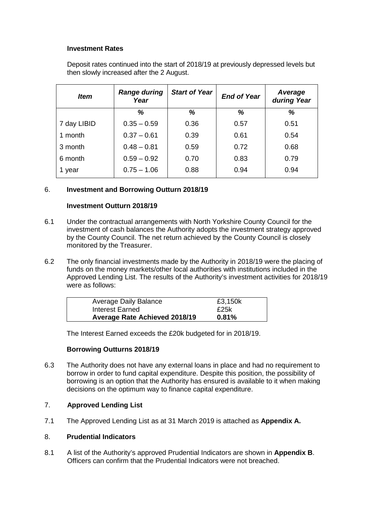## **Investment Rates**

Deposit rates continued into the start of 2018/19 at previously depressed levels but then slowly increased after the 2 August.

| <i>Item</i> | <b>Range during</b><br>Year | <b>Start of Year</b> | <b>End of Year</b> | Average<br>during Year |
|-------------|-----------------------------|----------------------|--------------------|------------------------|
|             | %                           | %                    | %                  | %                      |
| 7 day LIBID | $0.35 - 0.59$               | 0.36                 | 0.57               | 0.51                   |
| 1 month     | $0.37 - 0.61$               | 0.39                 | 0.61               | 0.54                   |
| 3 month     | $0.48 - 0.81$               | 0.59                 | 0.72               | 0.68                   |
| 6 month     | $0.59 - 0.92$               | 0.70                 | 0.83               | 0.79                   |
| 1 year      | $0.75 - 1.06$               | 0.88                 | 0.94               | 0.94                   |

## 6. **Investment and Borrowing Outturn 2018/19**

## **Investment Outturn 2018/19**

- 6.1 Under the contractual arrangements with North Yorkshire County Council for the investment of cash balances the Authority adopts the investment strategy approved by the County Council. The net return achieved by the County Council is closely monitored by the Treasurer.
- 6.2 The only financial investments made by the Authority in 2018/19 were the placing of funds on the money markets/other local authorities with institutions included in the Approved Lending List. The results of the Authority's investment activities for 2018/19 were as follows:

| <b>Average Daily Balance</b>         | £3,150k |
|--------------------------------------|---------|
| Interest Earned                      | £25k    |
| <b>Average Rate Achieved 2018/19</b> | 0.81%   |

The Interest Earned exceeds the £20k budgeted for in 2018/19.

## **Borrowing Outturns 2018/19**

6.3 The Authority does not have any external loans in place and had no requirement to borrow in order to fund capital expenditure. Despite this position, the possibility of borrowing is an option that the Authority has ensured is available to it when making decisions on the optimum way to finance capital expenditure.

## 7. **Approved Lending List**

7.1 The Approved Lending List as at 31 March 2019 is attached as **Appendix A.**

## 8. **Prudential Indicators**

8.1 A list of the Authority's approved Prudential Indicators are shown in **Appendix B**. Officers can confirm that the Prudential Indicators were not breached.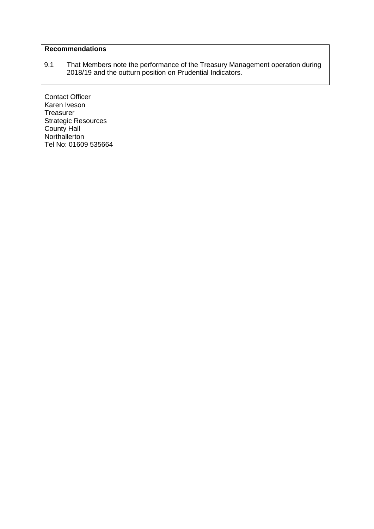## **Recommendations**

9.1 That Members note the performance of the Treasury Management operation during 2018/19 and the outturn position on Prudential Indicators.

Contact Officer Karen Iveson **Treasurer** Strategic Resources County Hall Northallerton Tel No: 01609 535664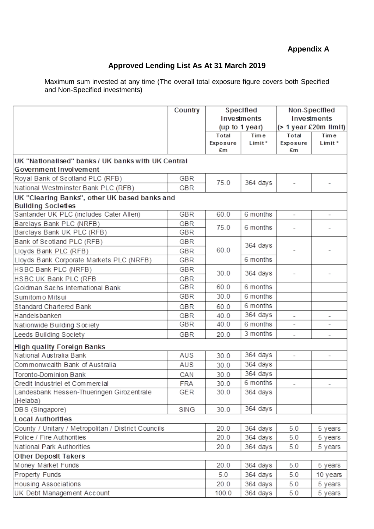# **Appendix A**

## **Approved Lending List As At 31 March 2019**

Maximum sum invested at any time (The overall total exposure figure covers both Specified and Non-Specified investments)

|                                                                              | Country | Specified   |                | Non-Specified            |                          |
|------------------------------------------------------------------------------|---------|-------------|----------------|--------------------------|--------------------------|
|                                                                              |         | Investments |                |                          | Investments              |
|                                                                              |         |             | (up to 1 year) |                          | (> 1 year £20m llmlt)    |
|                                                                              |         | Total       | Tim e          | Total                    | Time                     |
|                                                                              |         | Exposure    | Limit*         | Exposure                 | Limit *                  |
|                                                                              |         | £m          |                | £m                       |                          |
| UK "Nationalised" banks / UK banks with UK Central<br>Government Involvement |         |             |                |                          |                          |
| Royal Bank of Scotland PLC (RFB)                                             | GBR     |             |                |                          |                          |
| National Westminster Bank PLC (RFB)                                          | GBR     | 75.0        | 364 days       |                          |                          |
| UK "Clearing Banks", other UK based banks and                                |         |             |                |                          |                          |
| <b>Bullding Societies</b>                                                    |         |             |                |                          |                          |
| Santander UK PLC (includes Cater Allen)                                      | GBR     | 60.0        | 6 months       | $\overline{\phantom{a}}$ | $\overline{\phantom{a}}$ |
| Barclays Bank PLC (NRFB)                                                     | GBR     | 75.0        | 6 months       |                          |                          |
| Barclays Bank UK PLC (RFB)                                                   | GBR     |             |                |                          |                          |
| Bank of Scotland PLC (RFB)                                                   | GBR     |             | 364 days       |                          |                          |
| Lloyds Bank PLC (RFB)                                                        | GBR     | 60.0        |                |                          |                          |
| Lloyds Bank Corporate Markets PLC (NRFB)                                     | GBR     |             | 6 months       |                          |                          |
| HSBC Bank PLC (NRFB)                                                         | GBR     | 30.0        | 364 days       |                          |                          |
| HSBC UK Bank PLC (RFB                                                        | GBR     |             |                |                          |                          |
| Goldman Sachs International Bank                                             | GBR     | 60.0        | 6 months       |                          |                          |
| Sumitomo Mitsui                                                              | GBR     | 30.0        | 6 months       |                          |                          |
| Standard Chartered Bank                                                      | GBR     | 60.0        | 6 months       |                          |                          |
| Handelsbanken                                                                | GBR     | 40.0        | 364 days       | $\overline{\phantom{a}}$ | $\overline{\phantom{a}}$ |
| Nationwide Building Society                                                  | GBR     | 40.0        | 6 months       | ÷.                       | ٠                        |
| Leeds Building Society                                                       | GBR     | 20.0        | 3 months       | $\overline{\phantom{a}}$ | $\overline{\phantom{a}}$ |
| <b>High quality Foreign Banks</b>                                            |         |             |                |                          |                          |
| National Australia Bank                                                      | AUS     | 30.0        | 364 days       |                          |                          |
| Commonwealth Bank of Australia                                               | AUS     | 30.0        | 364 days       |                          |                          |
| Toronto-Dominion Bank                                                        | CAN     | 30.0        | 364 days       |                          |                          |
| Credit Industriel et Commercial                                              | FRA     | 30.0        | 6 months       |                          |                          |
| Landesbank Hessen-Thueringen Girozentrale                                    | GER     | 30.0        | 364 days       |                          |                          |
| (Helaba)                                                                     |         |             |                |                          |                          |
| DBS (Singapore)                                                              | SING    | 30.0        | 364 days       |                          |                          |
| <b>Local Authorities</b>                                                     |         |             |                |                          |                          |
| County / Unitary / Metropolitan / District Councils                          |         | 20.0        | 364 days       | 5.0                      | 5 years                  |
| Police / Fire Authorities                                                    |         | 20.0        | 364 days       | 5.0                      | 5 years                  |
| National Park Authorities                                                    |         | 20.0        | 364 days       | 5.0                      | 5 years                  |
| Other Deposit Takers                                                         |         |             |                |                          |                          |
| Money Market Funds                                                           |         | 20.0        | 364 days       | 5.0                      | 5 years                  |
| Property Funds                                                               |         | 5.0         | 364 days       | 5.0                      | 10 years                 |
| Housing Associations                                                         |         | 20.0        | 364 days       | 5.0                      | 5 years                  |
| UK Debt Management Account                                                   |         | 100.0       | 364 days       | 5.0                      | 5 years                  |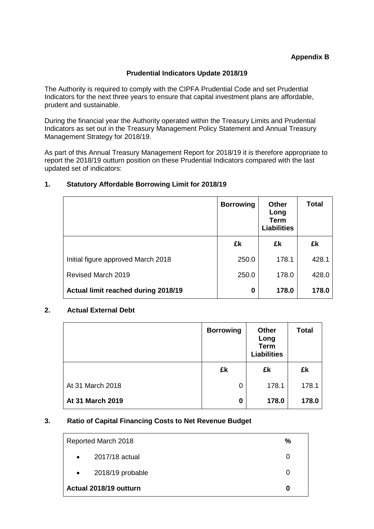## **Prudential Indicators Update 2018/19**

The Authority is required to comply with the CIPFA Prudential Code and set Prudential Indicators for the next three years to ensure that capital investment plans are affordable, prudent and sustainable.

During the financial year the Authority operated within the Treasury Limits and Prudential Indicators as set out in the Treasury Management Policy Statement and Annual Treasury Management Strategy for 2018/19.

As part of this Annual Treasury Management Report for 2018/19 it is therefore appropriate to report the 2018/19 outturn position on these Prudential Indicators compared with the last updated set of indicators:

## **1. Statutory Affordable Borrowing Limit for 2018/19**

|                                     | <b>Borrowing</b> | Other<br>Long<br><b>Term</b><br><b>Liabilities</b> | Total |
|-------------------------------------|------------------|----------------------------------------------------|-------|
|                                     | £k               | £k                                                 | £k    |
| Initial figure approved March 2018  | 250.0            | 178.1                                              | 428.1 |
| Revised March 2019                  | 250.0            | 178.0                                              | 428.0 |
| Actual limit reached during 2018/19 | 0                | 178.0                                              | 178.0 |

## **2. Actual External Debt**

|                         | <b>Borrowing</b> | <b>Other</b><br>Long<br><b>Term</b><br><b>Liabilities</b> | <b>Total</b> |
|-------------------------|------------------|-----------------------------------------------------------|--------------|
|                         | £k               | £k                                                        | £k           |
| At 31 March 2018        | 0                | 178.1                                                     | 178.1        |
| <b>At 31 March 2019</b> | 0                | 178.0                                                     | 178.0        |

## **3. Ratio of Capital Financing Costs to Net Revenue Budget**

|           | Reported March 2018    | $\%$ |
|-----------|------------------------|------|
| $\bullet$ | 2017/18 actual         | O    |
| $\bullet$ | 2018/19 probable       | O    |
|           | Actual 2018/19 outturn | 0    |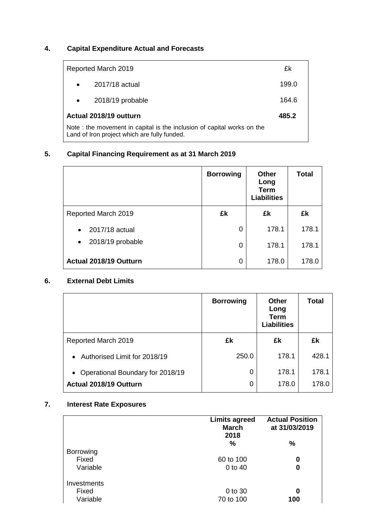# **4. Capital Expenditure Actual and Forecasts**

|           | Reported March 2019                                                                                                    | £k    |
|-----------|------------------------------------------------------------------------------------------------------------------------|-------|
| $\bullet$ | 2017/18 actual                                                                                                         | 199.0 |
|           | 2018/19 probable                                                                                                       | 164.6 |
|           | Actual 2018/19 outturn                                                                                                 | 485.2 |
|           | Note: the movement in capital is the inclusion of capital works on the<br>Land of Iron project which are fully funded. |       |

## **5. Capital Financing Requirement as at 31 March 2019**

|                               | <b>Borrowing</b> | <b>Other</b><br>Long<br><b>Term</b><br><b>Liabilities</b> | <b>Total</b> |
|-------------------------------|------------------|-----------------------------------------------------------|--------------|
| Reported March 2019           | £k               | £k                                                        | £k           |
| 2017/18 actual                | 0                | 178.1                                                     | 178.1        |
| 2018/19 probable<br>$\bullet$ | 0                | 178.1                                                     | 178.1        |
| Actual 2018/19 Outturn        | 0                | 178.0                                                     | 178.0        |

## **6. External Debt Limits**

|                                           | <b>Borrowing</b> | <b>Other</b><br>Long<br><b>Term</b><br><b>Liabilities</b> | <b>Total</b> |
|-------------------------------------------|------------------|-----------------------------------------------------------|--------------|
| Reported March 2019                       | £k               | £k                                                        | £k           |
| Authorised Limit for 2018/19<br>$\bullet$ | 250.0            | 178.1                                                     | 428.1        |
| • Operational Boundary for 2018/19        | 0                | 178.1                                                     | 178.1        |
| Actual 2018/19 Outturn                    | 0                | 178.0                                                     | 178.0        |

# **7. Interest Rate Exposures**

|                  | <b>Limits agreed</b><br><b>March</b><br>2018 | <b>Actual Position</b><br>at 31/03/2019 |
|------------------|----------------------------------------------|-----------------------------------------|
|                  | %                                            | %                                       |
| <b>Borrowing</b> |                                              |                                         |
| Fixed            | 60 to 100                                    | 0                                       |
| Variable         | 0 to 40                                      | 0                                       |
| Investments      |                                              |                                         |
| Fixed            | 0 to 30                                      | 0                                       |
| Variable         | 70 to 100                                    | 100                                     |